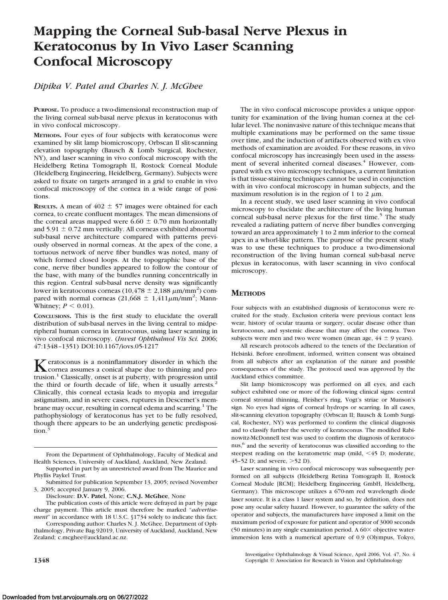# **Mapping the Corneal Sub-basal Nerve Plexus in Keratoconus by In Vivo Laser Scanning Confocal Microscopy**

## *Dipika V. Patel and Charles N. J. McGhee*

**PURPOSE.** To produce a two-dimensional reconstruction map of the living corneal sub-basal nerve plexus in keratoconus with in vivo confocal microscopy.

**METHODS.** Four eyes of four subjects with keratoconus were examined by slit lamp biomicroscopy, Orbscan II slit-scanning elevation topography (Bausch & Lomb Surgical, Rochester, NY), and laser scanning in vivo confocal microscopy with the Heidelberg Retina Tomograph II, Rostock Corneal Module (Heidelberg Engineering, Heidelberg, Germany). Subjects were asked to fixate on targets arranged in a grid to enable in vivo confocal microscopy of the cornea in a wide range of positions.

**RESULTS.** A mean of  $402 \pm 57$  images were obtained for each cornea, to create confluent montages. The mean dimensions of the corneal areas mapped were  $6.60 \pm 0.70$  mm horizontally and  $5.91 \pm 0.72$  mm vertically. All corneas exhibited abnormal sub-basal nerve architecture compared with patterns previously observed in normal corneas. At the apex of the cone, a tortuous network of nerve fiber bundles was noted, many of which formed closed loops. At the topographic base of the cone, nerve fiber bundles appeared to follow the contour of the base, with many of the bundles running concentrically in this region. Central sub-basal nerve density was significantly lower in keratoconus corneas (10,478  $\pm$  2,188  $\mu$ m/mm<sup>2</sup>) compared with normal corneas  $(21,668 \pm 1,411 \mu m/mm^2)$ ; Mann-Whitney;  $P \leq 0.01$ ).

**CONCLUSIONS.** This is the first study to elucidate the overall distribution of sub-basal nerves in the living central to midperipheral human cornea in keratoconus, using laser scanning in vivo confocal microscopy. (*Invest Ophthalmol Vis Sci.* 2006; 47:1348 –1351) DOI:10.1167/iovs.05-1217

Keratoconus is a noninflammatory disorder in which the<br>cornea assumes a conical shape due to thinning and protrusion.<sup>1</sup> Classically, onset is at puberty, with progression until the third or fourth decade of life, when it usually arrests.<sup>2</sup> Clinically, this corneal ectasia leads to myopia and irregular astigmatism, and in severe cases, ruptures in Descemet's membrane may occur, resulting in corneal edema and scarring.<sup>1</sup> The pathophysiology of keratoconus has yet to be fully resolved, though there appears to be an underlying genetic predisposition $\frac{3}{2}$ 

Supported in part by an unrestricted award from The Maurice and Phyllis Paykel Trust.

The in vivo confocal microscope provides a unique opportunity for examination of the living human cornea at the cellular level. The noninvasive nature of this technique means that multiple examinations may be performed on the same tissue over time, and the induction of artifacts observed with ex vivo methods of examination are avoided. For these reasons, in vivo confocal microscopy has increasingly been used in the assessment of several inherited corneal diseases.<sup>4</sup> However, compared with ex vivo microscopy techniques, a current limitation is that tissue-staining techniques cannot be used in conjunction with in vivo confocal microscopy in human subjects, and the maximum resolution is in the region of 1 to 2  $\mu$ m.

In a recent study, we used laser scanning in vivo confocal microscopy to elucidate the architecture of the living human corneal sub-basal nerve plexus for the first time.<sup>5</sup> The study revealed a radiating pattern of nerve fiber bundles converging toward an area approximately 1 to 2 mm inferior to the corneal apex in a whorl-like pattern. The purpose of the present study was to use these techniques to produce a two-dimensional reconstruction of the living human corneal sub-basal nerve plexus in keratoconus, with laser scanning in vivo confocal microscopy.

### **METHODS**

Four subjects with an established diagnosis of keratoconus were recruited for the study. Exclusion criteria were previous contact lens wear, history of ocular trauma or surgery, ocular disease other than keratoconus, and systemic disease that may affect the cornea. Two subjects were men and two were women (mean age,  $44 \pm 9$  years).

All research protocols adhered to the tenets of the Declaration of Helsinki. Before enrollment, informed, written consent was obtained from all subjects after an explanation of the nature and possible consequences of the study. The protocol used was approved by the Auckland ethics committee.

Slit lamp biomicroscopy was performed on all eyes, and each subject exhibited one or more of the following clinical signs: central corneal stromal thinning, Fleisher's ring, Vogt's striae or Munson's sign. No eyes had signs of corneal hydrops or scarring. In all cases, slit-scanning elevation topography (Orbscan II; Bausch & Lomb Surgical, Rochester, NY) was performed to confirm the clinical diagnosis and to classify further the severity of keratoconus. The modified Rabinowitz-McDonnell test was used to confirm the diagnosis of keratoconus,<sup>6</sup> and the severity of keratoconus was classified according to the steepest reading on the keratometric map (mild,  $\leq 45$  D; moderate, 45–52 D; and severe, 52 D).

Laser scanning in vivo confocal microscopy was subsequently performed on all subjects (Heidelberg Retina Tomograph II, Rostock Corneal Module [RCM]; Heidelberg Engineering GmbH, Heidelberg, Germany). This microscope utilizes a 670-nm red wavelength diode laser source. It is a class 1 laser system and so, by definition, does not pose any ocular safety hazard. However, to guarantee the safety of the operator and subjects, the manufacturers have imposed a limit on the maximum period of exposure for patient and operator of 3000 seconds (50 minutes) in any single examination period. A  $60\times$  objective waterimmersion lens with a numerical aperture of 0.9 (Olympus, Tokyo,

From the Department of Ophthalmology, Faculty of Medical and Health Sciences, University of Auckland, Auckland, New Zealand.

Submitted for publication September 13, 2005; revised November 3, 2005; accepted January 9, 2006.

Disclosure: **D.V. Patel**, None; **C.N.J. McGhee**, None

The publication costs of this article were defrayed in part by page charge payment. This article must therefore be marked "*advertisement*" in accordance with 18 U.S.C. §1734 solely to indicate this fact.

Corresponding author: Charles N. J. McGhee, Department of Ophthalmology, Private Bag 92019, University of Auckland, Auckland, New Zealand; c.mcghee@auckland.ac.nz.

Investigative Ophthalmology & Visual Science, April 2006, Vol. 47, No. 4 **1348** Copyright © Association for Research in Vision and Ophthalmology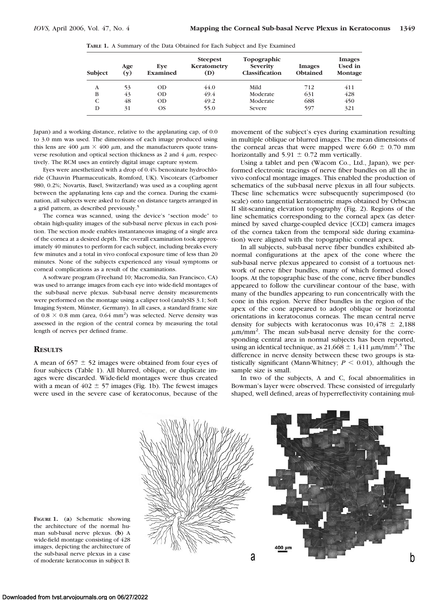| <b>TABLE 1.</b> A Summary of the Data Obtained for Each Subject and Eye Examined |  |  |  |  |  |
|----------------------------------------------------------------------------------|--|--|--|--|--|
|----------------------------------------------------------------------------------|--|--|--|--|--|

| Subject | Age<br>(y) | Eve<br>Examined | <b>Steepest</b><br>Keratometry<br>(D) | Topographic<br><b>Severity</b><br>Classification | Images<br>Obtained | <b>Images</b><br>Used in<br>Montage |
|---------|------------|-----------------|---------------------------------------|--------------------------------------------------|--------------------|-------------------------------------|
| A       | 53         | OD              | 44.0                                  | Mild                                             | 712                | 411                                 |
| B       | 43         | OD              | 49.4                                  | Moderate                                         | 631                | 428                                 |
| C       | 48         | OD              | 49.2                                  | Moderate                                         | 688                | 450                                 |
| D       | 31         | OS              | 55.0                                  | Severe                                           | 597                | 321                                 |

Japan) and a working distance, relative to the applanating cap, of 0.0 to 3.0 mm was used. The dimensions of each image produced using this lens are 400  $\mu$ m  $\times$  400  $\mu$ m, and the manufacturers quote transverse resolution and optical section thickness as 2 and 4  $\mu$ m, respectively. The RCM uses an entirely digital image capture system.

Eyes were anesthetized with a drop of 0.4% benoxinate hydrochloride (Chauvin Pharmaceuticals, Romford, UK). Viscotears (Carbomer 980, 0.2%; Novartis, Basel, Switzerland) was used as a coupling agent between the applanating lens cap and the cornea. During the examination, all subjects were asked to fixate on distance targets arranged in a grid pattern, as described previously.5

The cornea was scanned, using the device's "section mode" to obtain high-quality images of the sub-basal nerve plexus in each position. The section mode enables instantaneous imaging of a single area of the cornea at a desired depth. The overall examination took approximately 40 minutes to perform for each subject, including breaks every few minutes and a total in vivo confocal exposure time of less than 20 minutes. None of the subjects experienced any visual symptoms or corneal complications as a result of the examinations.

A software program (Freehand 10; Macromedia, San Francisco, CA) was used to arrange images from each eye into wide-field montages of the sub-basal nerve plexus. Sub-basal nerve density measurements were performed on the montage using a caliper tool (analySIS 3.1; Soft Imaging System, Münster, Germany). In all cases, a standard frame size of  $0.8 \times 0.8$  mm (area,  $0.64$  mm<sup>2</sup>) was selected. Nerve density was assessed in the region of the central cornea by measuring the total length of nerves per defined frame.

### **RESULTS**

A mean of  $657 \pm 52$  images were obtained from four eyes of four subjects (Table 1). All blurred, oblique, or duplicate images were discarded. Wide-field montages were thus created with a mean of  $402 \pm 57$  images (Fig. 1b). The fewest images were used in the severe case of keratoconus, because of the

movement of the subject's eyes during examination resulting in multiple oblique or blurred images. The mean dimensions of the corneal areas that were mapped were  $6.60 \pm 0.70$  mm horizontally and  $5.91 \pm 0.72$  mm vertically.

Using a tablet and pen (Wacom Co., Ltd., Japan), we performed electronic tracings of nerve fiber bundles on all the in vivo confocal montage images. This enabled the production of schematics of the sub-basal nerve plexus in all four subjects. These line schematics were subsequently superimposed (to scale) onto tangential keratometric maps obtained by Orbscan II slit-scanning elevation topography (Fig. 2). Regions of the line schematics corresponding to the corneal apex (as determined by saved charge-coupled device [CCD] camera images of the cornea taken from the temporal side during examination) were aligned with the topographic corneal apex.

In all subjects, sub-basal nerve fiber bundles exhibited abnormal configurations at the apex of the cone where the sub-basal nerve plexus appeared to consist of a tortuous network of nerve fiber bundles, many of which formed closed loops. At the topographic base of the cone, nerve fiber bundles appeared to follow the curvilinear contour of the base, with many of the bundles appearing to run concentrically with the cone in this region. Nerve fiber bundles in the region of the apex of the cone appeared to adopt oblique or horizontal orientations in keratoconus corneas. The mean central nerve density for subjects with keratoconus was  $10.478 \pm 2.188$  $\mu$ m/mm<sup>2</sup>. The mean sub-basal nerve density for the corresponding central area in normal subjects has been reported, using an identical technique, as  $21,668 \pm 1,411 \ \mu m/mm^2$ .<sup>5</sup> The difference in nerve density between these two groups is statistically significant (Mann-Whitney;  $P \leq 0.01$ ), although the sample size is small.

In two of the subjects, A and C, focal abnormalities in Bowman's layer were observed. These consisted of irregularly shaped, well defined, areas of hyperreflectivity containing mul-



**FIGURE 1.** (**a**) Schematic showing the architecture of the normal human sub-basal nerve plexus. (**b**) A wide-field montage consisting of 428 images, depicting the architecture of the sub-basal nerve plexus in a case of moderate keratoconus in subject B.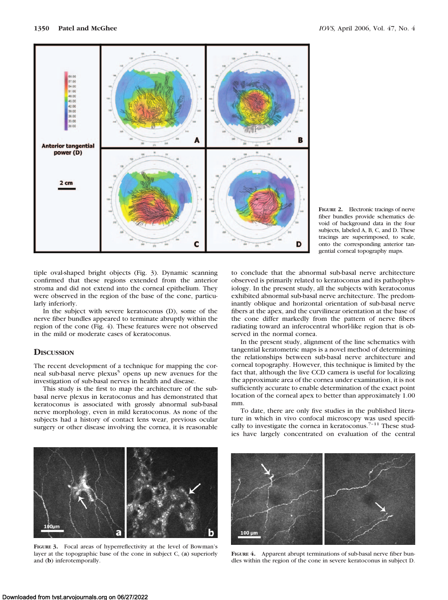

**FIGURE 2.** Electronic tracings of nerve fiber bundles provide schematics devoid of background data in the four subjects, labeled A, B, C, and D. These tracings are superimposed, to scale, onto the corresponding anterior tangential corneal topography maps.

tiple oval-shaped bright objects (Fig. 3). Dynamic scanning confirmed that these regions extended from the anterior stroma and did not extend into the corneal epithelium. They were observed in the region of the base of the cone, particularly inferiorly.

In the subject with severe keratoconus (D), some of the nerve fiber bundles appeared to terminate abruptly within the region of the cone (Fig. 4). These features were not observed in the mild or moderate cases of keratoconus.

### **DISCUSSION**

The recent development of a technique for mapping the corneal sub-basal nerve plexus<sup>5</sup> opens up new avenues for the investigation of sub-basal nerves in health and disease.

This study is the first to map the architecture of the subbasal nerve plexus in keratoconus and has demonstrated that keratoconus is associated with grossly abnormal sub-basal nerve morphology, even in mild keratoconus. As none of the subjects had a history of contact lens wear, previous ocular surgery or other disease involving the cornea, it is reasonable

to conclude that the abnormal sub-basal nerve architecture observed is primarily related to keratoconus and its pathophysiology. In the present study, all the subjects with keratoconus exhibited abnormal sub-basal nerve architecture. The predominantly oblique and horizontal orientation of sub-basal nerve fibers at the apex, and the curvilinear orientation at the base of the cone differ markedly from the pattern of nerve fibers radiating toward an inferocentral whorl-like region that is observed in the normal cornea.

In the present study, alignment of the line schematics with tangential keratometric maps is a novel method of determining the relationships between sub-basal nerve architecture and corneal topography. However, this technique is limited by the fact that, although the live CCD camera is useful for localizing the approximate area of the cornea under examination, it is not sufficiently accurate to enable determination of the exact point location of the corneal apex to better than approximately 1.00 mm.

To date, there are only five studies in the published literature in which in vivo confocal microscopy was used specifically to investigate the cornea in keratoconus.<sup> $7-11$ </sup> These studies have largely concentrated on evaluation of the central



**FIGURE 3.** Focal areas of hyperreflectivity at the level of Bowman's layer at the topographic base of the cone in subject C, (**a**) superiorly and (**b**) inferotemporally.



**FIGURE 4.** Apparent abrupt terminations of sub-basal nerve fiber bundles within the region of the cone in severe keratoconus in subject D.